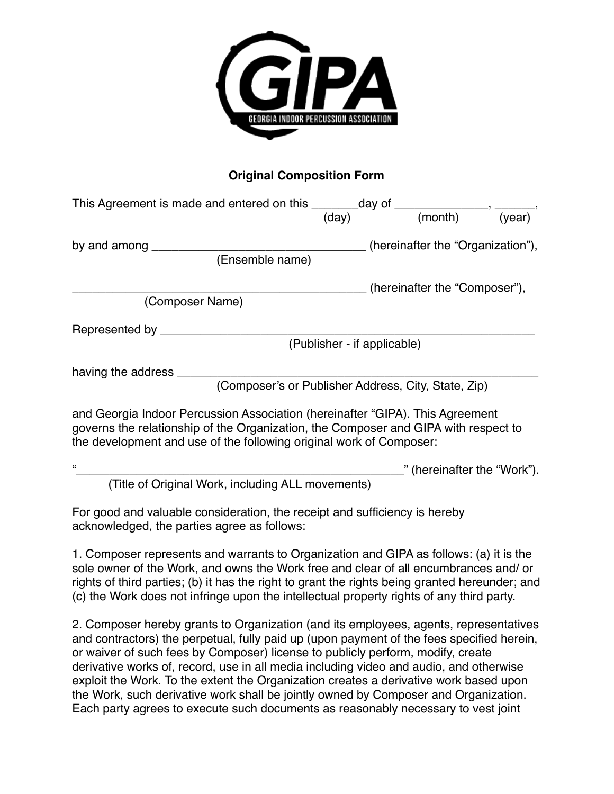

## **Original Composition Form**

| This Agreement is made and entered on this $\frac{1}{(day)}$ day of $\frac{1}{(month)}$ , $\frac{1}{(year)}$                                                                                                                                |                             |                                   |  |
|---------------------------------------------------------------------------------------------------------------------------------------------------------------------------------------------------------------------------------------------|-----------------------------|-----------------------------------|--|
| by and among <u>expression</u><br>(Ensemble name)                                                                                                                                                                                           |                             | (hereinafter the "Organization"), |  |
| (Composer Name)                                                                                                                                                                                                                             |                             | _ (hereinafter the "Composer"),   |  |
| Represented by ________                                                                                                                                                                                                                     | (Publisher - if applicable) |                                   |  |
| having the address ________<br>(Composer's or Publisher Address, City, State, Zip)                                                                                                                                                          |                             |                                   |  |
| and Georgia Indoor Percussion Association (hereinafter "GIPA). This Agreement<br>governs the relationship of the Organization, the Composer and GIPA with respect to<br>the development and use of the following original work of Composer: |                             |                                   |  |
| $\epsilon$                                                                                                                                                                                                                                  |                             | " (hereinafter the "Work").       |  |

(Title of Original Work, including ALL movements)

For good and valuable consideration, the receipt and sufficiency is hereby acknowledged, the parties agree as follows:

1. Composer represents and warrants to Organization and GIPA as follows: (a) it is the sole owner of the Work, and owns the Work free and clear of all encumbrances and/ or rights of third parties; (b) it has the right to grant the rights being granted hereunder; and (c) the Work does not infringe upon the intellectual property rights of any third party.

2. Composer hereby grants to Organization (and its employees, agents, representatives and contractors) the perpetual, fully paid up (upon payment of the fees specified herein, or waiver of such fees by Composer) license to publicly perform, modify, create derivative works of, record, use in all media including video and audio, and otherwise exploit the Work. To the extent the Organization creates a derivative work based upon the Work, such derivative work shall be jointly owned by Composer and Organization. Each party agrees to execute such documents as reasonably necessary to vest joint